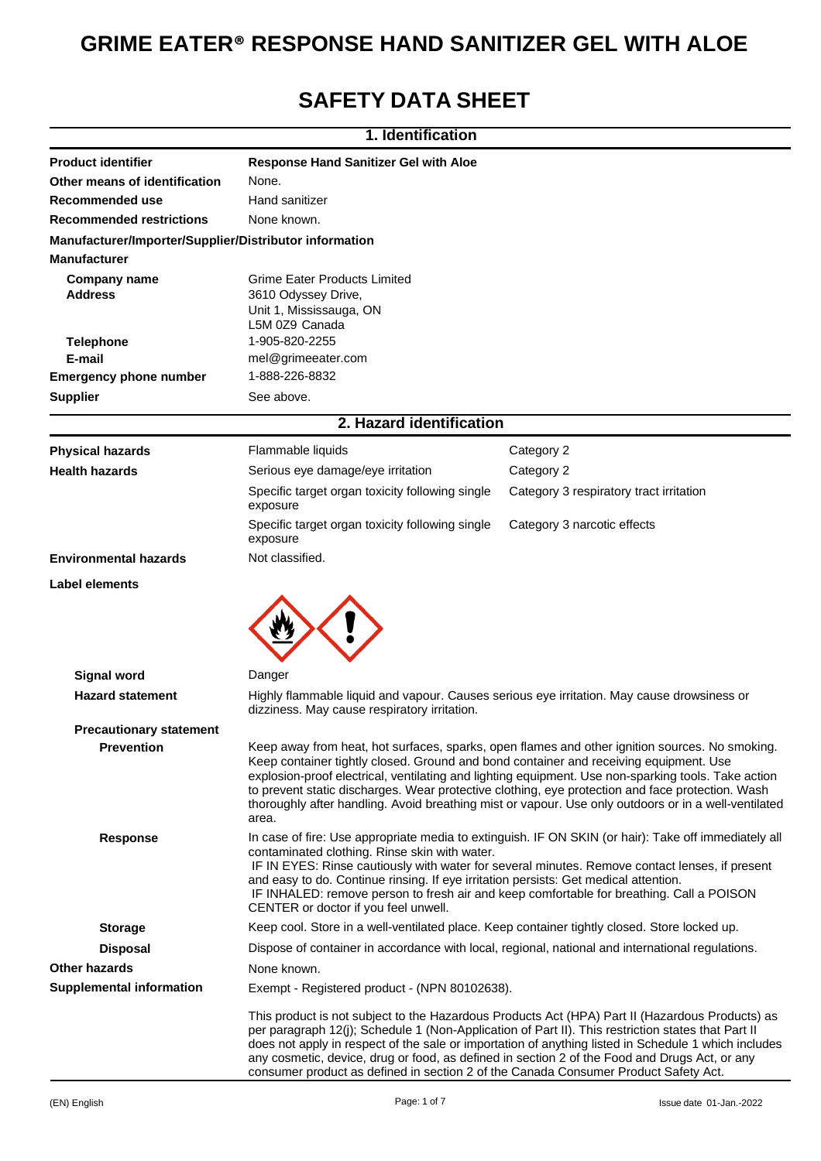# **GRIME EATER® RESPONSE HAND SANITIZER GEL WITH ALOE**

## **SAFETY DATA SHEET**

|                                                        | 1. Identification                                                                                                                                                                                                                                                                                                                                                                                                                                                                                                   |                                                                                                  |  |
|--------------------------------------------------------|---------------------------------------------------------------------------------------------------------------------------------------------------------------------------------------------------------------------------------------------------------------------------------------------------------------------------------------------------------------------------------------------------------------------------------------------------------------------------------------------------------------------|--------------------------------------------------------------------------------------------------|--|
| <b>Product identifier</b>                              | <b>Response Hand Sanitizer Gel with Aloe</b>                                                                                                                                                                                                                                                                                                                                                                                                                                                                        |                                                                                                  |  |
| Other means of identification                          | None.                                                                                                                                                                                                                                                                                                                                                                                                                                                                                                               |                                                                                                  |  |
| Recommended use                                        | Hand sanitizer                                                                                                                                                                                                                                                                                                                                                                                                                                                                                                      |                                                                                                  |  |
| <b>Recommended restrictions</b>                        | None known.                                                                                                                                                                                                                                                                                                                                                                                                                                                                                                         |                                                                                                  |  |
| Manufacturer/Importer/Supplier/Distributor information |                                                                                                                                                                                                                                                                                                                                                                                                                                                                                                                     |                                                                                                  |  |
| <b>Manufacturer</b>                                    |                                                                                                                                                                                                                                                                                                                                                                                                                                                                                                                     |                                                                                                  |  |
| <b>Company name</b>                                    | <b>Grime Eater Products Limited</b>                                                                                                                                                                                                                                                                                                                                                                                                                                                                                 |                                                                                                  |  |
| Address                                                | 3610 Odyssey Drive,                                                                                                                                                                                                                                                                                                                                                                                                                                                                                                 |                                                                                                  |  |
|                                                        | Unit 1, Mississauga, ON<br>L5M 0Z9 Canada                                                                                                                                                                                                                                                                                                                                                                                                                                                                           |                                                                                                  |  |
| <b>Telephone</b>                                       | 1-905-820-2255                                                                                                                                                                                                                                                                                                                                                                                                                                                                                                      |                                                                                                  |  |
| E-mail                                                 | mel@grimeeater.com                                                                                                                                                                                                                                                                                                                                                                                                                                                                                                  |                                                                                                  |  |
| <b>Emergency phone number</b>                          | 1-888-226-8832                                                                                                                                                                                                                                                                                                                                                                                                                                                                                                      |                                                                                                  |  |
| <b>Supplier</b>                                        | See above.                                                                                                                                                                                                                                                                                                                                                                                                                                                                                                          |                                                                                                  |  |
|                                                        | 2. Hazard identification                                                                                                                                                                                                                                                                                                                                                                                                                                                                                            |                                                                                                  |  |
| <b>Physical hazards</b>                                | Flammable liquids                                                                                                                                                                                                                                                                                                                                                                                                                                                                                                   | Category 2                                                                                       |  |
| <b>Health hazards</b>                                  | Serious eye damage/eye irritation                                                                                                                                                                                                                                                                                                                                                                                                                                                                                   | Category 2                                                                                       |  |
|                                                        | Specific target organ toxicity following single<br>exposure                                                                                                                                                                                                                                                                                                                                                                                                                                                         | Category 3 respiratory tract irritation                                                          |  |
|                                                        | Specific target organ toxicity following single<br>exposure                                                                                                                                                                                                                                                                                                                                                                                                                                                         | Category 3 narcotic effects                                                                      |  |
| <b>Environmental hazards</b>                           | Not classified.                                                                                                                                                                                                                                                                                                                                                                                                                                                                                                     |                                                                                                  |  |
| <b>Label elements</b>                                  |                                                                                                                                                                                                                                                                                                                                                                                                                                                                                                                     |                                                                                                  |  |
|                                                        |                                                                                                                                                                                                                                                                                                                                                                                                                                                                                                                     |                                                                                                  |  |
| <b>Signal word</b>                                     | Danger                                                                                                                                                                                                                                                                                                                                                                                                                                                                                                              |                                                                                                  |  |
| <b>Hazard statement</b>                                | Highly flammable liquid and vapour. Causes serious eye irritation. May cause drowsiness or<br>dizziness. May cause respiratory irritation.                                                                                                                                                                                                                                                                                                                                                                          |                                                                                                  |  |
| <b>Precautionary statement</b>                         |                                                                                                                                                                                                                                                                                                                                                                                                                                                                                                                     |                                                                                                  |  |
| <b>Prevention</b>                                      | Keep away from heat, hot surfaces, sparks, open flames and other ignition sources. No smoking.<br>Keep container tightly closed. Ground and bond container and receiving equipment. Use<br>explosion-proof electrical, ventilating and lighting equipment. Use non-sparking tools. Take action<br>to prevent static discharges. Wear protective clothing, eye protection and face protection. Wash<br>thoroughly after handling. Avoid breathing mist or vapour. Use only outdoors or in a well-ventilated<br>area. |                                                                                                  |  |
| <b>Response</b>                                        | In case of fire: Use appropriate media to extinguish. IF ON SKIN (or hair): Take off immediately all<br>contaminated clothing. Rinse skin with water.<br>IF IN EYES: Rinse cautiously with water for several minutes. Remove contact lenses, if present<br>and easy to do. Continue rinsing. If eye irritation persists: Get medical attention.<br>IF INHALED: remove person to fresh air and keep comfortable for breathing. Call a POISON<br>CENTER or doctor if you feel unwell.                                 |                                                                                                  |  |
| <b>Storage</b>                                         | Keep cool. Store in a well-ventilated place. Keep container tightly closed. Store locked up.                                                                                                                                                                                                                                                                                                                                                                                                                        |                                                                                                  |  |
| <b>Disposal</b>                                        |                                                                                                                                                                                                                                                                                                                                                                                                                                                                                                                     | Dispose of container in accordance with local, regional, national and international regulations. |  |
| <b>Other hazards</b>                                   | None known.                                                                                                                                                                                                                                                                                                                                                                                                                                                                                                         |                                                                                                  |  |
| <b>Supplemental information</b>                        | Exempt - Registered product - (NPN 80102638).                                                                                                                                                                                                                                                                                                                                                                                                                                                                       |                                                                                                  |  |
|                                                        | This product is not subject to the Hazardous Products Act (HPA) Part II (Hazardous Products) as<br>per paragraph 12(j); Schedule 1 (Non-Application of Part II). This restriction states that Part II<br>does not apply in respect of the sale or importation of anything listed in Schedule 1 which includes<br>any cosmetic, device, drug or food, as defined in section 2 of the Food and Drugs Act, or any<br>consumer product as defined in section 2 of the Canada Consumer Product Safety Act.               |                                                                                                  |  |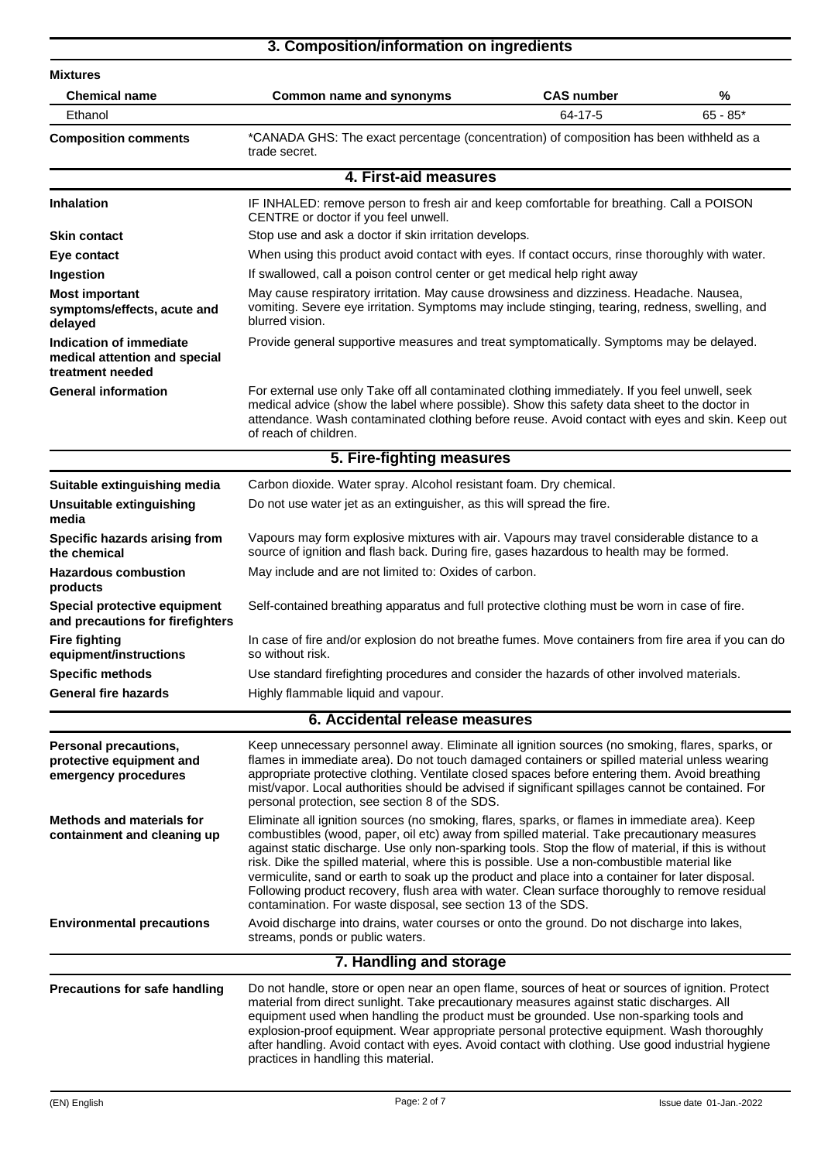|                                                                                  | 3. Composition/information on ingredients                                                                                                                                                                                                                                                                                                                                                                                                                                                                                                                                                                                                                                    |                   |            |
|----------------------------------------------------------------------------------|------------------------------------------------------------------------------------------------------------------------------------------------------------------------------------------------------------------------------------------------------------------------------------------------------------------------------------------------------------------------------------------------------------------------------------------------------------------------------------------------------------------------------------------------------------------------------------------------------------------------------------------------------------------------------|-------------------|------------|
| <b>Mixtures</b>                                                                  |                                                                                                                                                                                                                                                                                                                                                                                                                                                                                                                                                                                                                                                                              |                   |            |
| <b>Chemical name</b>                                                             | <b>Common name and synonyms</b>                                                                                                                                                                                                                                                                                                                                                                                                                                                                                                                                                                                                                                              | <b>CAS number</b> | %          |
| Ethanol                                                                          |                                                                                                                                                                                                                                                                                                                                                                                                                                                                                                                                                                                                                                                                              | 64-17-5           | $65 - 85*$ |
| <b>Composition comments</b>                                                      | *CANADA GHS: The exact percentage (concentration) of composition has been withheld as a<br>trade secret.                                                                                                                                                                                                                                                                                                                                                                                                                                                                                                                                                                     |                   |            |
|                                                                                  | 4. First-aid measures                                                                                                                                                                                                                                                                                                                                                                                                                                                                                                                                                                                                                                                        |                   |            |
| <b>Inhalation</b>                                                                | IF INHALED: remove person to fresh air and keep comfortable for breathing. Call a POISON<br>CENTRE or doctor if you feel unwell.                                                                                                                                                                                                                                                                                                                                                                                                                                                                                                                                             |                   |            |
| <b>Skin contact</b>                                                              | Stop use and ask a doctor if skin irritation develops.                                                                                                                                                                                                                                                                                                                                                                                                                                                                                                                                                                                                                       |                   |            |
| Eye contact                                                                      | When using this product avoid contact with eyes. If contact occurs, rinse thoroughly with water.                                                                                                                                                                                                                                                                                                                                                                                                                                                                                                                                                                             |                   |            |
| Ingestion                                                                        | If swallowed, call a poison control center or get medical help right away                                                                                                                                                                                                                                                                                                                                                                                                                                                                                                                                                                                                    |                   |            |
| <b>Most important</b><br>symptoms/effects, acute and<br>delayed                  | May cause respiratory irritation. May cause drowsiness and dizziness. Headache. Nausea,<br>vomiting. Severe eye irritation. Symptoms may include stinging, tearing, redness, swelling, and<br>blurred vision.                                                                                                                                                                                                                                                                                                                                                                                                                                                                |                   |            |
| Indication of immediate<br>medical attention and special<br>treatment needed     | Provide general supportive measures and treat symptomatically. Symptoms may be delayed.                                                                                                                                                                                                                                                                                                                                                                                                                                                                                                                                                                                      |                   |            |
| <b>General information</b>                                                       | For external use only Take off all contaminated clothing immediately. If you feel unwell, seek<br>medical advice (show the label where possible). Show this safety data sheet to the doctor in<br>attendance. Wash contaminated clothing before reuse. Avoid contact with eyes and skin. Keep out<br>of reach of children.                                                                                                                                                                                                                                                                                                                                                   |                   |            |
|                                                                                  | 5. Fire-fighting measures                                                                                                                                                                                                                                                                                                                                                                                                                                                                                                                                                                                                                                                    |                   |            |
| Suitable extinguishing media                                                     | Carbon dioxide. Water spray. Alcohol resistant foam. Dry chemical.                                                                                                                                                                                                                                                                                                                                                                                                                                                                                                                                                                                                           |                   |            |
| Unsuitable extinguishing<br>media                                                | Do not use water jet as an extinguisher, as this will spread the fire.                                                                                                                                                                                                                                                                                                                                                                                                                                                                                                                                                                                                       |                   |            |
| Specific hazards arising from<br>the chemical                                    | Vapours may form explosive mixtures with air. Vapours may travel considerable distance to a<br>source of ignition and flash back. During fire, gases hazardous to health may be formed.                                                                                                                                                                                                                                                                                                                                                                                                                                                                                      |                   |            |
| <b>Hazardous combustion</b><br>products                                          | May include and are not limited to: Oxides of carbon.                                                                                                                                                                                                                                                                                                                                                                                                                                                                                                                                                                                                                        |                   |            |
| Special protective equipment<br>and precautions for firefighters                 | Self-contained breathing apparatus and full protective clothing must be worn in case of fire.                                                                                                                                                                                                                                                                                                                                                                                                                                                                                                                                                                                |                   |            |
| <b>Fire fighting</b><br>equipment/instructions                                   | In case of fire and/or explosion do not breathe fumes. Move containers from fire area if you can do<br>so without risk.                                                                                                                                                                                                                                                                                                                                                                                                                                                                                                                                                      |                   |            |
| <b>Specific methods</b>                                                          | Use standard firefighting procedures and consider the hazards of other involved materials.                                                                                                                                                                                                                                                                                                                                                                                                                                                                                                                                                                                   |                   |            |
| <b>General fire hazards</b>                                                      | Highly flammable liquid and vapour.                                                                                                                                                                                                                                                                                                                                                                                                                                                                                                                                                                                                                                          |                   |            |
|                                                                                  | 6. Accidental release measures                                                                                                                                                                                                                                                                                                                                                                                                                                                                                                                                                                                                                                               |                   |            |
| <b>Personal precautions,</b><br>protective equipment and<br>emergency procedures | Keep unnecessary personnel away. Eliminate all ignition sources (no smoking, flares, sparks, or<br>flames in immediate area). Do not touch damaged containers or spilled material unless wearing<br>appropriate protective clothing. Ventilate closed spaces before entering them. Avoid breathing<br>mist/vapor. Local authorities should be advised if significant spillages cannot be contained. For<br>personal protection, see section 8 of the SDS.                                                                                                                                                                                                                    |                   |            |
| <b>Methods and materials for</b><br>containment and cleaning up                  | Eliminate all ignition sources (no smoking, flares, sparks, or flames in immediate area). Keep<br>combustibles (wood, paper, oil etc) away from spilled material. Take precautionary measures<br>against static discharge. Use only non-sparking tools. Stop the flow of material, if this is without<br>risk. Dike the spilled material, where this is possible. Use a non-combustible material like<br>vermiculite, sand or earth to soak up the product and place into a container for later disposal.<br>Following product recovery, flush area with water. Clean surface thoroughly to remove residual<br>contamination. For waste disposal, see section 13 of the SDS. |                   |            |
| <b>Environmental precautions</b>                                                 | Avoid discharge into drains, water courses or onto the ground. Do not discharge into lakes,<br>streams, ponds or public waters.                                                                                                                                                                                                                                                                                                                                                                                                                                                                                                                                              |                   |            |
|                                                                                  | 7. Handling and storage                                                                                                                                                                                                                                                                                                                                                                                                                                                                                                                                                                                                                                                      |                   |            |
| <b>Precautions for safe handling</b>                                             | Do not handle, store or open near an open flame, sources of heat or sources of ignition. Protect<br>material from direct sunlight. Take precautionary measures against static discharges. All<br>equipment used when handling the product must be grounded. Use non-sparking tools and<br>explosion-proof equipment. Wear appropriate personal protective equipment. Wash thoroughly                                                                                                                                                                                                                                                                                         |                   |            |

practices in handling this material.

after handling. Avoid contact with eyes. Avoid contact with clothing. Use good industrial hygiene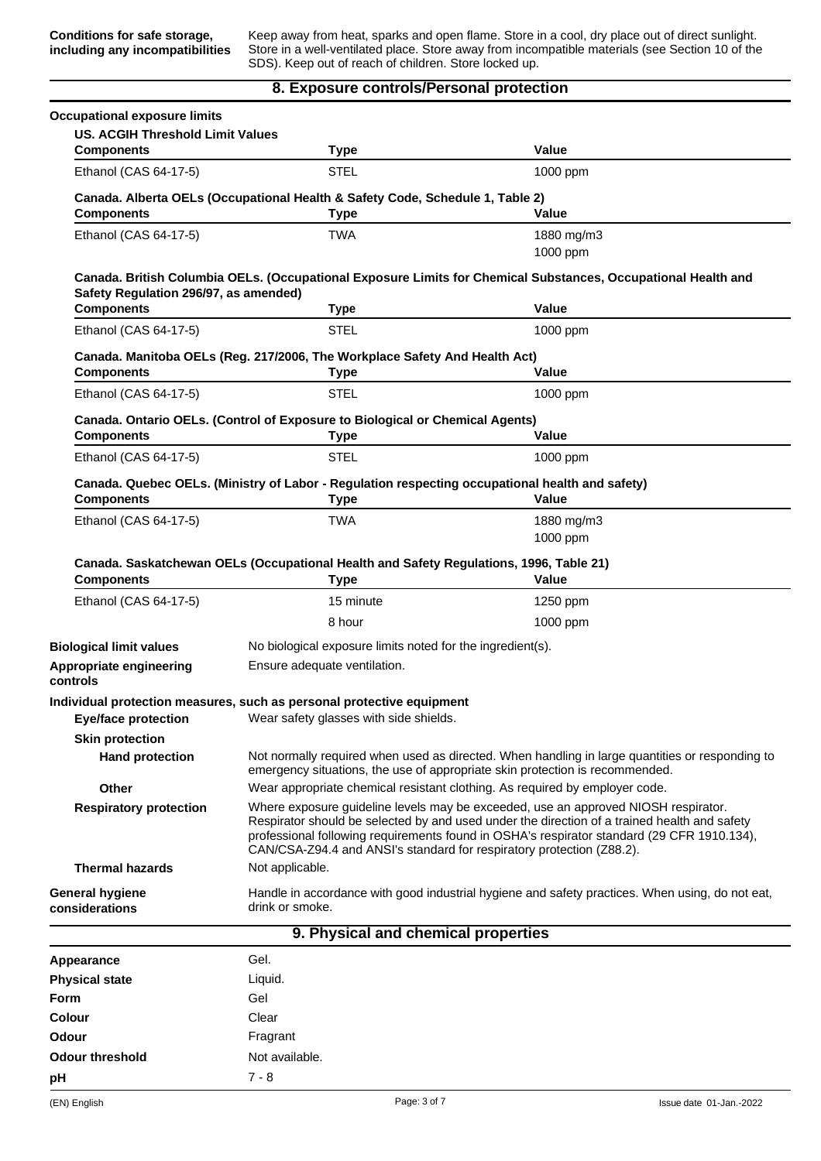Keep away from heat, sparks and open flame. Store in a cool, dry place out of direct sunlight. Store in a well-ventilated place. Store away from incompatible materials (see Section 10 of the SDS). Keep out of reach of children. Store locked up.

#### **8. Exposure controls/Personal protection**

| <b>Occupational exposure limits</b>     |                                                                                                                                                                                                                                                                                                                                                           |                                                                                                                                                                                 |  |  |
|-----------------------------------------|-----------------------------------------------------------------------------------------------------------------------------------------------------------------------------------------------------------------------------------------------------------------------------------------------------------------------------------------------------------|---------------------------------------------------------------------------------------------------------------------------------------------------------------------------------|--|--|
| <b>US. ACGIH Threshold Limit Values</b> |                                                                                                                                                                                                                                                                                                                                                           |                                                                                                                                                                                 |  |  |
| <b>Components</b>                       | Type                                                                                                                                                                                                                                                                                                                                                      | Value                                                                                                                                                                           |  |  |
| Ethanol (CAS 64-17-5)                   | <b>STEL</b>                                                                                                                                                                                                                                                                                                                                               | 1000 ppm                                                                                                                                                                        |  |  |
| <b>Components</b>                       | Canada. Alberta OELs (Occupational Health & Safety Code, Schedule 1, Table 2)<br>Type                                                                                                                                                                                                                                                                     | <b>Value</b>                                                                                                                                                                    |  |  |
| Ethanol (CAS 64-17-5)                   | <b>TWA</b>                                                                                                                                                                                                                                                                                                                                                | 1880 mg/m3<br>1000 ppm                                                                                                                                                          |  |  |
| Safety Regulation 296/97, as amended)   |                                                                                                                                                                                                                                                                                                                                                           | Canada. British Columbia OELs. (Occupational Exposure Limits for Chemical Substances, Occupational Health and                                                                   |  |  |
| <b>Components</b>                       | Type                                                                                                                                                                                                                                                                                                                                                      | Value                                                                                                                                                                           |  |  |
| Ethanol (CAS 64-17-5)                   | <b>STEL</b>                                                                                                                                                                                                                                                                                                                                               | 1000 ppm                                                                                                                                                                        |  |  |
|                                         | Canada. Manitoba OELs (Reg. 217/2006, The Workplace Safety And Health Act)                                                                                                                                                                                                                                                                                |                                                                                                                                                                                 |  |  |
| <b>Components</b>                       | <b>Type</b>                                                                                                                                                                                                                                                                                                                                               | Value                                                                                                                                                                           |  |  |
| Ethanol (CAS 64-17-5)                   | <b>STEL</b>                                                                                                                                                                                                                                                                                                                                               | 1000 ppm                                                                                                                                                                        |  |  |
| <b>Components</b>                       | Canada. Ontario OELs. (Control of Exposure to Biological or Chemical Agents)<br><b>Type</b>                                                                                                                                                                                                                                                               | Value                                                                                                                                                                           |  |  |
| Ethanol (CAS 64-17-5)                   | <b>STEL</b>                                                                                                                                                                                                                                                                                                                                               | 1000 ppm                                                                                                                                                                        |  |  |
| <b>Components</b>                       | Canada. Quebec OELs. (Ministry of Labor - Regulation respecting occupational health and safety)<br><b>Type</b>                                                                                                                                                                                                                                            | Value                                                                                                                                                                           |  |  |
| Ethanol (CAS 64-17-5)                   | <b>TWA</b>                                                                                                                                                                                                                                                                                                                                                | 1880 mg/m3<br>1000 ppm                                                                                                                                                          |  |  |
| <b>Components</b>                       | Canada. Saskatchewan OELs (Occupational Health and Safety Regulations, 1996, Table 21)<br><b>Type</b>                                                                                                                                                                                                                                                     | Value                                                                                                                                                                           |  |  |
| Ethanol (CAS 64-17-5)                   | 15 minute                                                                                                                                                                                                                                                                                                                                                 | 1250 ppm                                                                                                                                                                        |  |  |
|                                         | 8 hour                                                                                                                                                                                                                                                                                                                                                    | $1000$ ppm                                                                                                                                                                      |  |  |
| <b>Biological limit values</b>          | No biological exposure limits noted for the ingredient(s).                                                                                                                                                                                                                                                                                                |                                                                                                                                                                                 |  |  |
| Appropriate engineering<br>controls     | Ensure adequate ventilation.                                                                                                                                                                                                                                                                                                                              |                                                                                                                                                                                 |  |  |
| <b>Eye/face protection</b>              | Individual protection measures, such as personal protective equipment<br>Wear safety glasses with side shields.                                                                                                                                                                                                                                           |                                                                                                                                                                                 |  |  |
| <b>Skin protection</b>                  |                                                                                                                                                                                                                                                                                                                                                           |                                                                                                                                                                                 |  |  |
| <b>Hand protection</b>                  |                                                                                                                                                                                                                                                                                                                                                           | Not normally required when used as directed. When handling in large quantities or responding to<br>emergency situations, the use of appropriate skin protection is recommended. |  |  |
| Other                                   | Wear appropriate chemical resistant clothing. As required by employer code.                                                                                                                                                                                                                                                                               |                                                                                                                                                                                 |  |  |
| <b>Respiratory protection</b>           | Where exposure guideline levels may be exceeded, use an approved NIOSH respirator.<br>Respirator should be selected by and used under the direction of a trained health and safety<br>professional following requirements found in OSHA's respirator standard (29 CFR 1910.134),<br>CAN/CSA-Z94.4 and ANSI's standard for respiratory protection (Z88.2). |                                                                                                                                                                                 |  |  |
| <b>Thermal hazards</b>                  | Not applicable.                                                                                                                                                                                                                                                                                                                                           |                                                                                                                                                                                 |  |  |
| General hygiene<br>considerations       | Handle in accordance with good industrial hygiene and safety practices. When using, do not eat,<br>drink or smoke.                                                                                                                                                                                                                                        |                                                                                                                                                                                 |  |  |
|                                         | 9. Physical and chemical properties                                                                                                                                                                                                                                                                                                                       |                                                                                                                                                                                 |  |  |
|                                         |                                                                                                                                                                                                                                                                                                                                                           |                                                                                                                                                                                 |  |  |
| Appearance                              | Gel.                                                                                                                                                                                                                                                                                                                                                      |                                                                                                                                                                                 |  |  |
| <b>Physical state</b>                   | Liquid.                                                                                                                                                                                                                                                                                                                                                   |                                                                                                                                                                                 |  |  |
| Form                                    | Gel                                                                                                                                                                                                                                                                                                                                                       |                                                                                                                                                                                 |  |  |
| Colour                                  | Clear                                                                                                                                                                                                                                                                                                                                                     |                                                                                                                                                                                 |  |  |
| Odour                                   | Fragrant                                                                                                                                                                                                                                                                                                                                                  |                                                                                                                                                                                 |  |  |
| <b>Odour threshold</b>                  | Not available.                                                                                                                                                                                                                                                                                                                                            |                                                                                                                                                                                 |  |  |

**pH** 7 - 8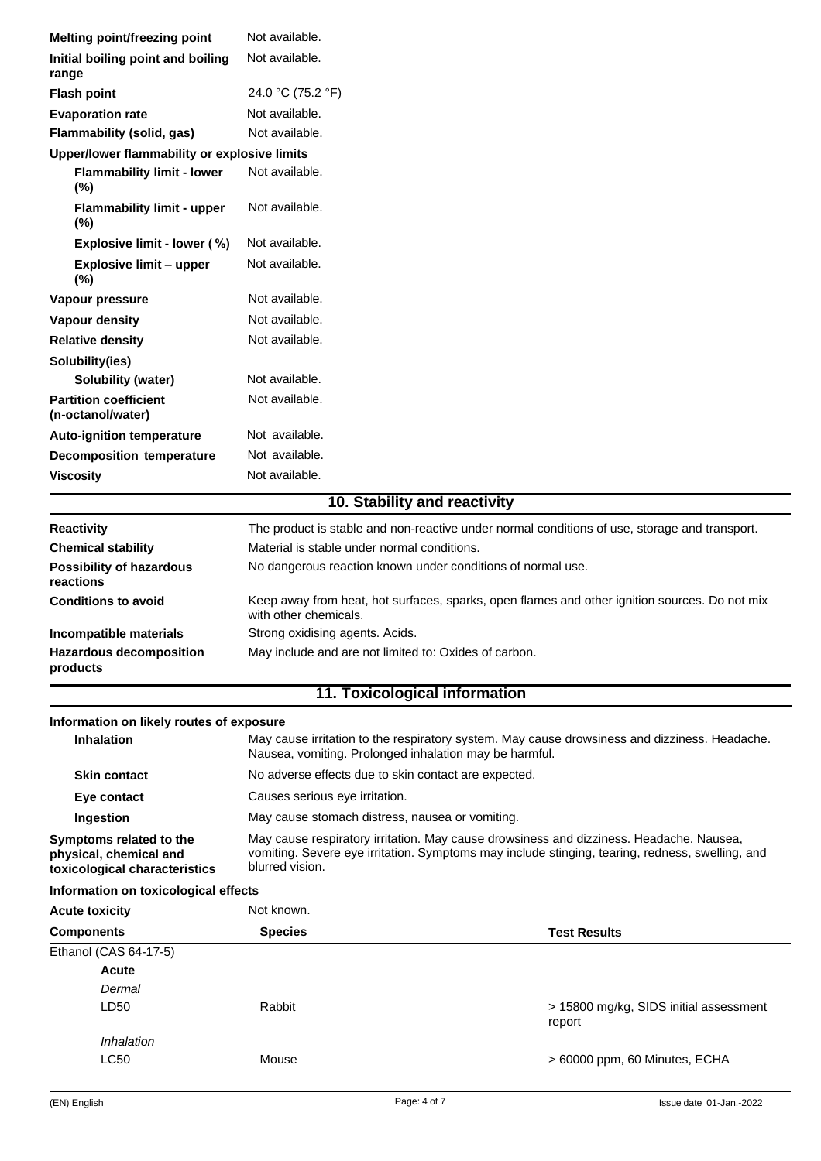| <b>Melting point/freezing point</b>                                                | Not available.                                                                                                                                                                                                |                                                  |  |
|------------------------------------------------------------------------------------|---------------------------------------------------------------------------------------------------------------------------------------------------------------------------------------------------------------|--------------------------------------------------|--|
| Initial boiling point and boiling<br>range                                         | Not available.                                                                                                                                                                                                |                                                  |  |
| <b>Flash point</b>                                                                 | 24.0 °C (75.2 °F)                                                                                                                                                                                             |                                                  |  |
| <b>Evaporation rate</b>                                                            | Not available.                                                                                                                                                                                                |                                                  |  |
| Flammability (solid, gas)                                                          | Not available.                                                                                                                                                                                                |                                                  |  |
| Upper/lower flammability or explosive limits                                       |                                                                                                                                                                                                               |                                                  |  |
| <b>Flammability limit - lower</b><br>(%)                                           | Not available.                                                                                                                                                                                                |                                                  |  |
| <b>Flammability limit - upper</b><br>$(\%)$                                        | Not available.                                                                                                                                                                                                |                                                  |  |
| Explosive limit - lower (%)                                                        | Not available.                                                                                                                                                                                                |                                                  |  |
| <b>Explosive limit - upper</b><br>(%)                                              | Not available.                                                                                                                                                                                                |                                                  |  |
| Vapour pressure                                                                    | Not available.                                                                                                                                                                                                |                                                  |  |
| Vapour density                                                                     | Not available.                                                                                                                                                                                                |                                                  |  |
| <b>Relative density</b>                                                            | Not available.                                                                                                                                                                                                |                                                  |  |
| Solubility(ies)<br>Solubility (water)                                              | Not available.                                                                                                                                                                                                |                                                  |  |
| <b>Partition coefficient</b><br>(n-octanol/water)                                  | Not available.                                                                                                                                                                                                |                                                  |  |
| <b>Auto-ignition temperature</b>                                                   | Not available.                                                                                                                                                                                                |                                                  |  |
| <b>Decomposition temperature</b>                                                   | Not available.                                                                                                                                                                                                |                                                  |  |
| <b>Viscosity</b>                                                                   | Not available.                                                                                                                                                                                                |                                                  |  |
|                                                                                    | 10. Stability and reactivity                                                                                                                                                                                  |                                                  |  |
| <b>Reactivity</b>                                                                  | The product is stable and non-reactive under normal conditions of use, storage and transport.                                                                                                                 |                                                  |  |
| <b>Chemical stability</b>                                                          | Material is stable under normal conditions.                                                                                                                                                                   |                                                  |  |
| <b>Possibility of hazardous</b><br>reactions                                       | No dangerous reaction known under conditions of normal use.                                                                                                                                                   |                                                  |  |
| <b>Conditions to avoid</b>                                                         | Keep away from heat, hot surfaces, sparks, open flames and other ignition sources. Do not mix<br>with other chemicals.                                                                                        |                                                  |  |
| Incompatible materials                                                             | Strong oxidising agents. Acids.                                                                                                                                                                               |                                                  |  |
| <b>Hazardous decomposition</b><br>products                                         | May include and are not limited to: Oxides of carbon.                                                                                                                                                         |                                                  |  |
|                                                                                    | 11. Toxicological information                                                                                                                                                                                 |                                                  |  |
| Information on likely routes of exposure                                           |                                                                                                                                                                                                               |                                                  |  |
| <b>Inhalation</b>                                                                  | May cause irritation to the respiratory system. May cause drowsiness and dizziness. Headache.<br>Nausea, vomiting. Prolonged inhalation may be harmful.                                                       |                                                  |  |
| <b>Skin contact</b>                                                                | No adverse effects due to skin contact are expected.                                                                                                                                                          |                                                  |  |
| Eye contact                                                                        | Causes serious eye irritation.                                                                                                                                                                                |                                                  |  |
| Ingestion                                                                          | May cause stomach distress, nausea or vomiting.                                                                                                                                                               |                                                  |  |
| Symptoms related to the<br>physical, chemical and<br>toxicological characteristics | May cause respiratory irritation. May cause drowsiness and dizziness. Headache. Nausea,<br>vomiting. Severe eye irritation. Symptoms may include stinging, tearing, redness, swelling, and<br>blurred vision. |                                                  |  |
| Information on toxicological effects                                               |                                                                                                                                                                                                               |                                                  |  |
| <b>Acute toxicity</b>                                                              | Not known.                                                                                                                                                                                                    |                                                  |  |
| <b>Components</b>                                                                  | <b>Species</b>                                                                                                                                                                                                | <b>Test Results</b>                              |  |
| Ethanol (CAS 64-17-5)                                                              |                                                                                                                                                                                                               |                                                  |  |
| <b>Acute</b>                                                                       |                                                                                                                                                                                                               |                                                  |  |
| Dermal                                                                             |                                                                                                                                                                                                               |                                                  |  |
| LD50                                                                               | Rabbit                                                                                                                                                                                                        | > 15800 mg/kg, SIDS initial assessment<br>report |  |
| Inhalation                                                                         |                                                                                                                                                                                                               |                                                  |  |
| <b>LC50</b>                                                                        | Mouse                                                                                                                                                                                                         | > 60000 ppm, 60 Minutes, ECHA                    |  |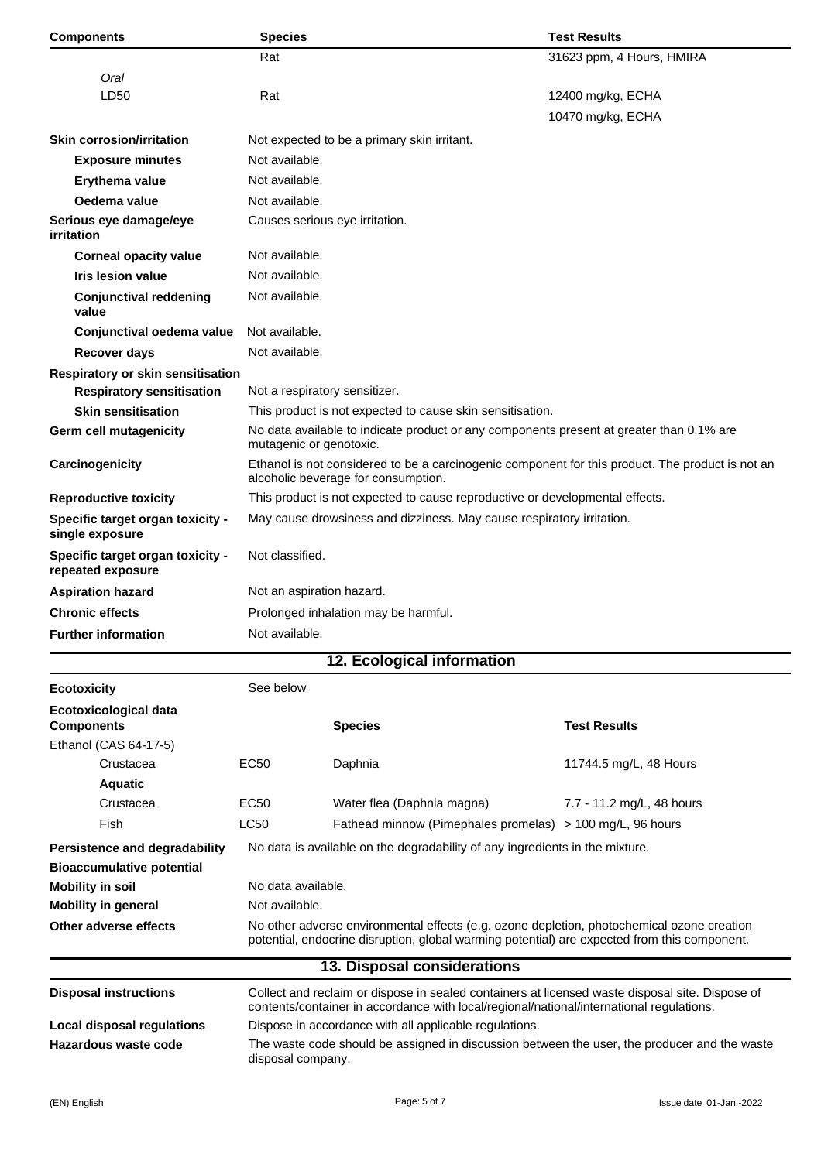| <b>Components</b>                                                 | <b>Species</b>                                                                               |                                                                                                                                                                                             | <b>Test Results</b>                                                                        |  |
|-------------------------------------------------------------------|----------------------------------------------------------------------------------------------|---------------------------------------------------------------------------------------------------------------------------------------------------------------------------------------------|--------------------------------------------------------------------------------------------|--|
|                                                                   | Rat                                                                                          |                                                                                                                                                                                             | 31623 ppm, 4 Hours, HMIRA                                                                  |  |
| Oral                                                              |                                                                                              |                                                                                                                                                                                             |                                                                                            |  |
| LD50                                                              | Rat                                                                                          |                                                                                                                                                                                             | 12400 mg/kg, ECHA                                                                          |  |
|                                                                   |                                                                                              |                                                                                                                                                                                             | 10470 mg/kg, ECHA                                                                          |  |
| <b>Skin corrosion/irritation</b>                                  |                                                                                              | Not expected to be a primary skin irritant.                                                                                                                                                 |                                                                                            |  |
| <b>Exposure minutes</b>                                           |                                                                                              | Not available.                                                                                                                                                                              |                                                                                            |  |
| Erythema value                                                    |                                                                                              | Not available.                                                                                                                                                                              |                                                                                            |  |
| Oedema value                                                      |                                                                                              | Not available.                                                                                                                                                                              |                                                                                            |  |
| Serious eye damage/eye<br>irritation                              |                                                                                              | Causes serious eye irritation.                                                                                                                                                              |                                                                                            |  |
| <b>Corneal opacity value</b>                                      |                                                                                              | Not available.                                                                                                                                                                              |                                                                                            |  |
| <b>Iris lesion value</b>                                          | Not available.                                                                               |                                                                                                                                                                                             |                                                                                            |  |
| <b>Conjunctival reddening</b><br>value                            | Not available.                                                                               |                                                                                                                                                                                             |                                                                                            |  |
| Conjunctival oedema value                                         | Not available.                                                                               |                                                                                                                                                                                             |                                                                                            |  |
| <b>Recover days</b>                                               | Not available.                                                                               |                                                                                                                                                                                             |                                                                                            |  |
| Respiratory or skin sensitisation                                 |                                                                                              |                                                                                                                                                                                             |                                                                                            |  |
| <b>Respiratory sensitisation</b>                                  |                                                                                              | Not a respiratory sensitizer.                                                                                                                                                               |                                                                                            |  |
| <b>Skin sensitisation</b>                                         |                                                                                              | This product is not expected to cause skin sensitisation.                                                                                                                                   |                                                                                            |  |
| Germ cell mutagenicity                                            |                                                                                              | No data available to indicate product or any components present at greater than 0.1% are<br>mutagenic or genotoxic.                                                                         |                                                                                            |  |
| Carcinogenicity                                                   |                                                                                              | Ethanol is not considered to be a carcinogenic component for this product. The product is not an<br>alcoholic beverage for consumption.                                                     |                                                                                            |  |
| <b>Reproductive toxicity</b>                                      |                                                                                              |                                                                                                                                                                                             | This product is not expected to cause reproductive or developmental effects.               |  |
| Specific target organ toxicity -<br>single exposure               |                                                                                              | May cause drowsiness and dizziness. May cause respiratory irritation.                                                                                                                       |                                                                                            |  |
| Specific target organ toxicity -<br>repeated exposure             |                                                                                              | Not classified.                                                                                                                                                                             |                                                                                            |  |
| <b>Aspiration hazard</b>                                          |                                                                                              | Not an aspiration hazard.                                                                                                                                                                   |                                                                                            |  |
| <b>Chronic effects</b>                                            |                                                                                              | Prolonged inhalation may be harmful.                                                                                                                                                        |                                                                                            |  |
| <b>Further information</b>                                        | Not available.                                                                               |                                                                                                                                                                                             |                                                                                            |  |
|                                                                   |                                                                                              | 12. Ecological information                                                                                                                                                                  |                                                                                            |  |
| <b>Ecotoxicity</b>                                                | See below                                                                                    |                                                                                                                                                                                             |                                                                                            |  |
|                                                                   |                                                                                              |                                                                                                                                                                                             |                                                                                            |  |
| <b>Ecotoxicological data</b><br><b>Components</b>                 |                                                                                              | <b>Species</b>                                                                                                                                                                              | <b>Test Results</b>                                                                        |  |
| Ethanol (CAS 64-17-5)                                             |                                                                                              |                                                                                                                                                                                             |                                                                                            |  |
| Crustacea                                                         | EC50                                                                                         | Daphnia                                                                                                                                                                                     | 11744.5 mg/L, 48 Hours                                                                     |  |
| <b>Aquatic</b>                                                    |                                                                                              |                                                                                                                                                                                             |                                                                                            |  |
| Crustacea                                                         | EC50                                                                                         | Water flea (Daphnia magna)                                                                                                                                                                  | 7.7 - 11.2 mg/L, 48 hours                                                                  |  |
| Fish                                                              | <b>LC50</b>                                                                                  |                                                                                                                                                                                             | Fathead minnow (Pimephales promelas) > 100 mg/L, 96 hours                                  |  |
| Persistence and degradability<br><b>Bioaccumulative potential</b> |                                                                                              | No data is available on the degradability of any ingredients in the mixture.                                                                                                                |                                                                                            |  |
| <b>Mobility in soil</b>                                           | No data available.                                                                           |                                                                                                                                                                                             |                                                                                            |  |
| <b>Mobility in general</b>                                        | Not available.                                                                               |                                                                                                                                                                                             |                                                                                            |  |
| Other adverse effects                                             |                                                                                              |                                                                                                                                                                                             | No other adverse environmental effects (e.g. ozone depletion, photochemical ozone creation |  |
|                                                                   | potential, endocrine disruption, global warming potential) are expected from this component. |                                                                                                                                                                                             |                                                                                            |  |
|                                                                   |                                                                                              | 13. Disposal considerations                                                                                                                                                                 |                                                                                            |  |
| <b>Disposal instructions</b>                                      |                                                                                              | Collect and reclaim or dispose in sealed containers at licensed waste disposal site. Dispose of<br>contents/container in accordance with local/regional/national/international regulations. |                                                                                            |  |
| Local disposal regulations                                        |                                                                                              | Dispose in accordance with all applicable regulations.                                                                                                                                      |                                                                                            |  |
| Hazardous waste code                                              |                                                                                              | The waste code should be assigned in discussion between the user, the producer and the waste<br>disposal company.                                                                           |                                                                                            |  |
|                                                                   |                                                                                              |                                                                                                                                                                                             |                                                                                            |  |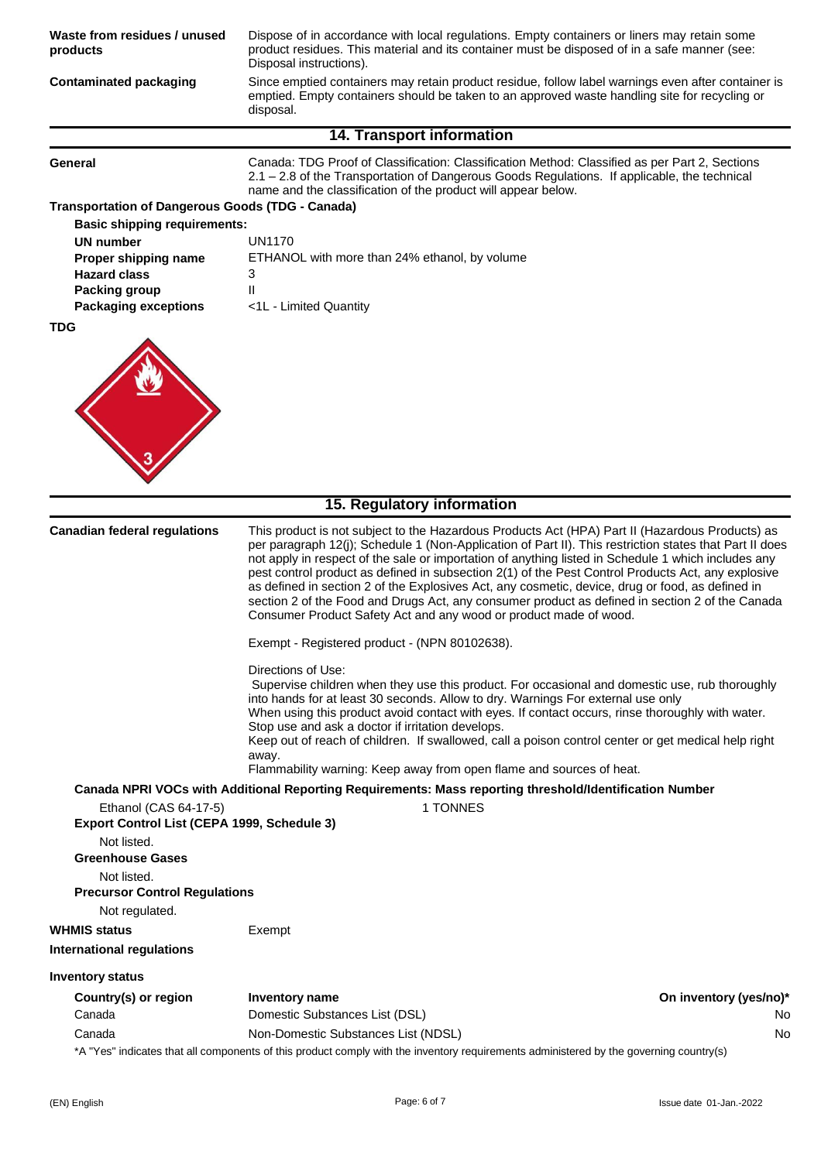| Waste from residues / unused<br>products                                                                                                                                                                                                                                                                                                                                                                                                                                                                                                                                                                                                                                                                                                   | Dispose of in accordance with local regulations. Empty containers or liners may retain some<br>product residues. This material and its container must be disposed of in a safe manner (see:<br>Disposal instructions).<br>Since emptied containers may retain product residue, follow label warnings even after container is<br>emptied. Empty containers should be taken to an approved waste handling site for recycling or<br>disposal.         |    |
|--------------------------------------------------------------------------------------------------------------------------------------------------------------------------------------------------------------------------------------------------------------------------------------------------------------------------------------------------------------------------------------------------------------------------------------------------------------------------------------------------------------------------------------------------------------------------------------------------------------------------------------------------------------------------------------------------------------------------------------------|----------------------------------------------------------------------------------------------------------------------------------------------------------------------------------------------------------------------------------------------------------------------------------------------------------------------------------------------------------------------------------------------------------------------------------------------------|----|
| <b>Contaminated packaging</b>                                                                                                                                                                                                                                                                                                                                                                                                                                                                                                                                                                                                                                                                                                              |                                                                                                                                                                                                                                                                                                                                                                                                                                                    |    |
|                                                                                                                                                                                                                                                                                                                                                                                                                                                                                                                                                                                                                                                                                                                                            | <b>14. Transport information</b>                                                                                                                                                                                                                                                                                                                                                                                                                   |    |
| General                                                                                                                                                                                                                                                                                                                                                                                                                                                                                                                                                                                                                                                                                                                                    | Canada: TDG Proof of Classification: Classification Method: Classified as per Part 2, Sections<br>2.1 - 2.8 of the Transportation of Dangerous Goods Regulations. If applicable, the technical<br>name and the classification of the product will appear below.                                                                                                                                                                                    |    |
| <b>Transportation of Dangerous Goods (TDG - Canada)</b><br><b>Basic shipping requirements:</b>                                                                                                                                                                                                                                                                                                                                                                                                                                                                                                                                                                                                                                             |                                                                                                                                                                                                                                                                                                                                                                                                                                                    |    |
| <b>UN number</b>                                                                                                                                                                                                                                                                                                                                                                                                                                                                                                                                                                                                                                                                                                                           | <b>UN1170</b>                                                                                                                                                                                                                                                                                                                                                                                                                                      |    |
| Proper shipping name                                                                                                                                                                                                                                                                                                                                                                                                                                                                                                                                                                                                                                                                                                                       | ETHANOL with more than 24% ethanol, by volume                                                                                                                                                                                                                                                                                                                                                                                                      |    |
| <b>Hazard class</b>                                                                                                                                                                                                                                                                                                                                                                                                                                                                                                                                                                                                                                                                                                                        | 3<br>$\mathsf{II}$                                                                                                                                                                                                                                                                                                                                                                                                                                 |    |
| Packing group<br><b>Packaging exceptions</b>                                                                                                                                                                                                                                                                                                                                                                                                                                                                                                                                                                                                                                                                                               | <1L - Limited Quantity                                                                                                                                                                                                                                                                                                                                                                                                                             |    |
| <b>TDG</b>                                                                                                                                                                                                                                                                                                                                                                                                                                                                                                                                                                                                                                                                                                                                 |                                                                                                                                                                                                                                                                                                                                                                                                                                                    |    |
|                                                                                                                                                                                                                                                                                                                                                                                                                                                                                                                                                                                                                                                                                                                                            |                                                                                                                                                                                                                                                                                                                                                                                                                                                    |    |
|                                                                                                                                                                                                                                                                                                                                                                                                                                                                                                                                                                                                                                                                                                                                            |                                                                                                                                                                                                                                                                                                                                                                                                                                                    |    |
|                                                                                                                                                                                                                                                                                                                                                                                                                                                                                                                                                                                                                                                                                                                                            |                                                                                                                                                                                                                                                                                                                                                                                                                                                    |    |
|                                                                                                                                                                                                                                                                                                                                                                                                                                                                                                                                                                                                                                                                                                                                            |                                                                                                                                                                                                                                                                                                                                                                                                                                                    |    |
|                                                                                                                                                                                                                                                                                                                                                                                                                                                                                                                                                                                                                                                                                                                                            |                                                                                                                                                                                                                                                                                                                                                                                                                                                    |    |
|                                                                                                                                                                                                                                                                                                                                                                                                                                                                                                                                                                                                                                                                                                                                            |                                                                                                                                                                                                                                                                                                                                                                                                                                                    |    |
|                                                                                                                                                                                                                                                                                                                                                                                                                                                                                                                                                                                                                                                                                                                                            |                                                                                                                                                                                                                                                                                                                                                                                                                                                    |    |
|                                                                                                                                                                                                                                                                                                                                                                                                                                                                                                                                                                                                                                                                                                                                            |                                                                                                                                                                                                                                                                                                                                                                                                                                                    |    |
|                                                                                                                                                                                                                                                                                                                                                                                                                                                                                                                                                                                                                                                                                                                                            | 15. Regulatory information                                                                                                                                                                                                                                                                                                                                                                                                                         |    |
|                                                                                                                                                                                                                                                                                                                                                                                                                                                                                                                                                                                                                                                                                                                                            |                                                                                                                                                                                                                                                                                                                                                                                                                                                    |    |
| <b>Canadian federal regulations</b><br>This product is not subject to the Hazardous Products Act (HPA) Part II (Hazardous Products) as<br>per paragraph 12(j); Schedule 1 (Non-Application of Part II). This restriction states that Part II does<br>not apply in respect of the sale or importation of anything listed in Schedule 1 which includes any<br>pest control product as defined in subsection 2(1) of the Pest Control Products Act, any explosive<br>as defined in section 2 of the Explosives Act, any cosmetic, device, drug or food, as defined in<br>section 2 of the Food and Drugs Act, any consumer product as defined in section 2 of the Canada<br>Consumer Product Safety Act and any wood or product made of wood. |                                                                                                                                                                                                                                                                                                                                                                                                                                                    |    |
|                                                                                                                                                                                                                                                                                                                                                                                                                                                                                                                                                                                                                                                                                                                                            | Exempt - Registered product - (NPN 80102638).                                                                                                                                                                                                                                                                                                                                                                                                      |    |
|                                                                                                                                                                                                                                                                                                                                                                                                                                                                                                                                                                                                                                                                                                                                            | Directions of Use:                                                                                                                                                                                                                                                                                                                                                                                                                                 |    |
|                                                                                                                                                                                                                                                                                                                                                                                                                                                                                                                                                                                                                                                                                                                                            | Supervise children when they use this product. For occasional and domestic use, rub thoroughly<br>into hands for at least 30 seconds. Allow to dry. Warnings For external use only<br>When using this product avoid contact with eyes. If contact occurs, rinse thoroughly with water.<br>Stop use and ask a doctor if irritation develops.<br>Keep out of reach of children. If swallowed, call a poison control center or get medical help right |    |
|                                                                                                                                                                                                                                                                                                                                                                                                                                                                                                                                                                                                                                                                                                                                            | away.<br>Flammability warning: Keep away from open flame and sources of heat.                                                                                                                                                                                                                                                                                                                                                                      |    |
|                                                                                                                                                                                                                                                                                                                                                                                                                                                                                                                                                                                                                                                                                                                                            | Canada NPRI VOCs with Additional Reporting Requirements: Mass reporting threshold/Identification Number                                                                                                                                                                                                                                                                                                                                            |    |
| Ethanol (CAS 64-17-5)                                                                                                                                                                                                                                                                                                                                                                                                                                                                                                                                                                                                                                                                                                                      | 1 TONNES                                                                                                                                                                                                                                                                                                                                                                                                                                           |    |
| Export Control List (CEPA 1999, Schedule 3)                                                                                                                                                                                                                                                                                                                                                                                                                                                                                                                                                                                                                                                                                                |                                                                                                                                                                                                                                                                                                                                                                                                                                                    |    |
| Not listed.                                                                                                                                                                                                                                                                                                                                                                                                                                                                                                                                                                                                                                                                                                                                |                                                                                                                                                                                                                                                                                                                                                                                                                                                    |    |
| <b>Greenhouse Gases</b>                                                                                                                                                                                                                                                                                                                                                                                                                                                                                                                                                                                                                                                                                                                    |                                                                                                                                                                                                                                                                                                                                                                                                                                                    |    |
| Not listed.                                                                                                                                                                                                                                                                                                                                                                                                                                                                                                                                                                                                                                                                                                                                |                                                                                                                                                                                                                                                                                                                                                                                                                                                    |    |
| <b>Precursor Control Regulations</b>                                                                                                                                                                                                                                                                                                                                                                                                                                                                                                                                                                                                                                                                                                       |                                                                                                                                                                                                                                                                                                                                                                                                                                                    |    |
| Not regulated.<br><b>WHMIS status</b>                                                                                                                                                                                                                                                                                                                                                                                                                                                                                                                                                                                                                                                                                                      |                                                                                                                                                                                                                                                                                                                                                                                                                                                    |    |
|                                                                                                                                                                                                                                                                                                                                                                                                                                                                                                                                                                                                                                                                                                                                            | Exempt                                                                                                                                                                                                                                                                                                                                                                                                                                             |    |
| <b>International regulations</b>                                                                                                                                                                                                                                                                                                                                                                                                                                                                                                                                                                                                                                                                                                           |                                                                                                                                                                                                                                                                                                                                                                                                                                                    |    |
| <b>Inventory status</b>                                                                                                                                                                                                                                                                                                                                                                                                                                                                                                                                                                                                                                                                                                                    |                                                                                                                                                                                                                                                                                                                                                                                                                                                    |    |
| Country(s) or region                                                                                                                                                                                                                                                                                                                                                                                                                                                                                                                                                                                                                                                                                                                       | On inventory (yes/no)*<br><b>Inventory name</b>                                                                                                                                                                                                                                                                                                                                                                                                    |    |
| Canada                                                                                                                                                                                                                                                                                                                                                                                                                                                                                                                                                                                                                                                                                                                                     | Domestic Substances List (DSL)                                                                                                                                                                                                                                                                                                                                                                                                                     | No |
| Canada                                                                                                                                                                                                                                                                                                                                                                                                                                                                                                                                                                                                                                                                                                                                     | Non-Domestic Substances List (NDSL)                                                                                                                                                                                                                                                                                                                                                                                                                | No |
|                                                                                                                                                                                                                                                                                                                                                                                                                                                                                                                                                                                                                                                                                                                                            | *A "Yes" indicates that all components of this product comply with the inventory requirements administered by the governing country(s)                                                                                                                                                                                                                                                                                                             |    |